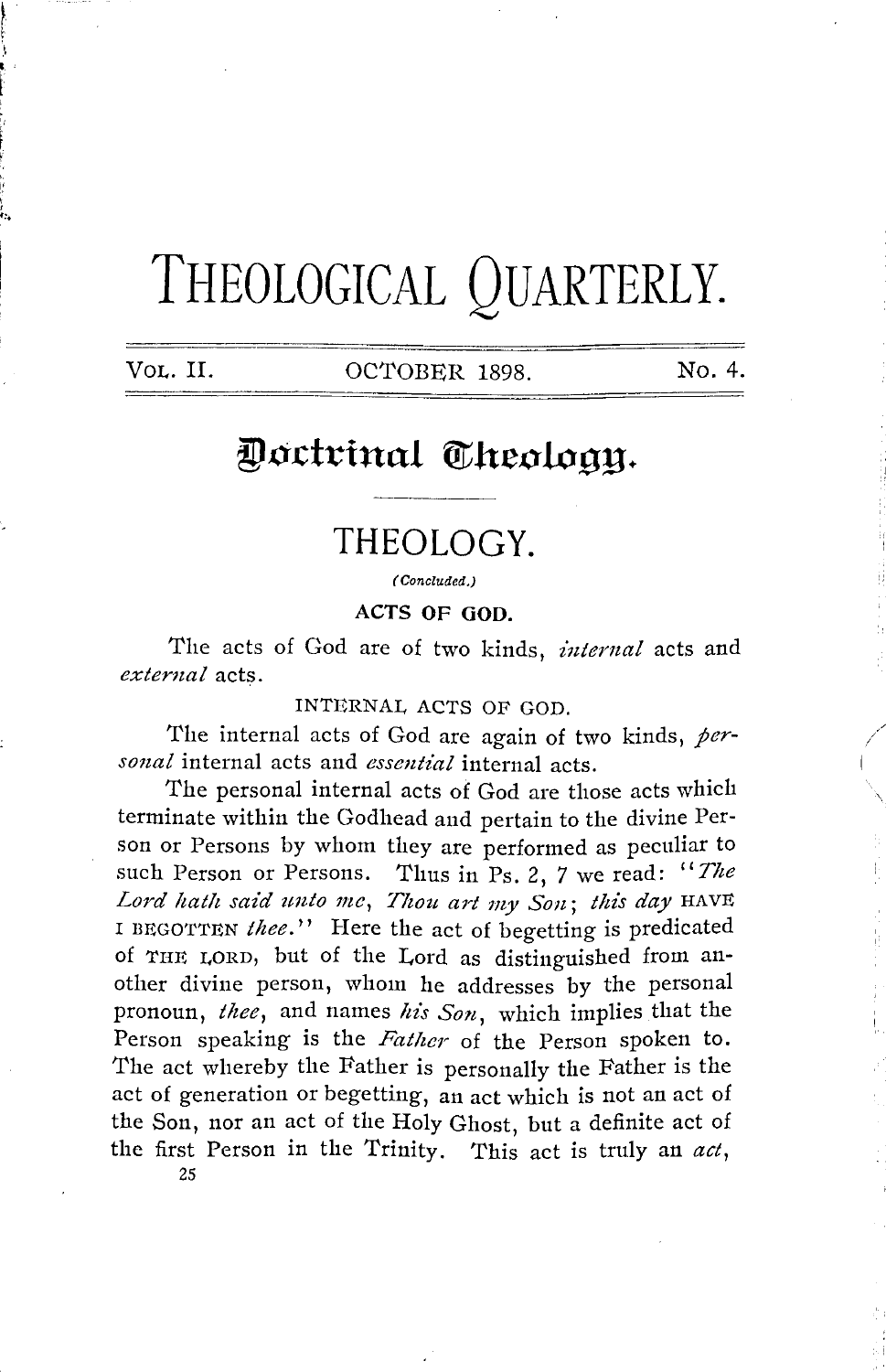# **THEOLOGICAL QUARTERLY.**

| Vol. II. |  |
|----------|--|
|----------|--|

f. t  $\Big\}$  , t

OCTOBER 1898. No. 4.

## Doctrinal Theology.

### **THEOLOGY.**

( Concluded.)

**ACTS OF GOD.** 

The acts of God are of two kinds, *internal* acts and *external* acts.

INTERNAL ACTS OF GOD.

'fhe internal acts of God are again of two kinds, *personal* internal acts and *essential* internal acts.

The personal internal acts of God are those acts which terminate within the Godhead and pertain to the divine Person or Persons by whom they are performed as peculiar to such Person or Persons. Thus in Ps. 2, *7* we read: *"The*  Lord hath said unto me, Thou art my Son; this day HAVE I BEGOTTEN thee." Here the act of begetting is predicated of THE LORD, but of the Lord as distinguished from another divine person, whom he addresses by the personal pronoun, *thee,* and names *his Son,* which implies that the Person speaking is the *Father* of the Person spoken to. The act whereby the Father is personally the Father is the act of generation or begetting, an act which is not an act of the Son, nor an act of the Holy Ghost, but a definite act of the first Person in the Trinity. This act is truly an *act,* 

25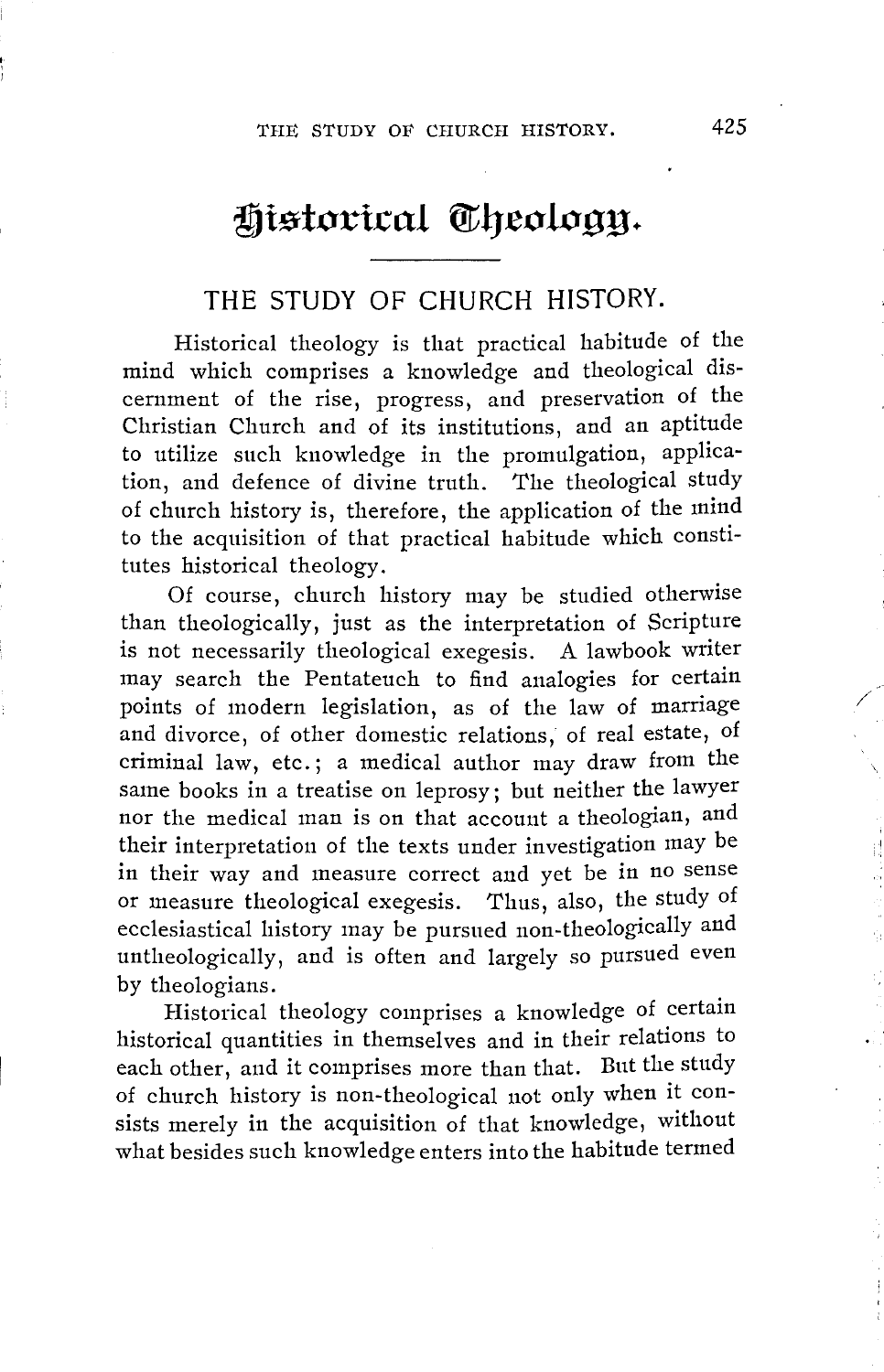# Historical Theology.

#### THE STUDY OF CHURCH HISTORY.

Historical theology is that practical habitude of the mind which comprises a knowledge and theological discernment of the rise, progress, and preservation of the Christian Church and of its institutions, and an aptitude to utilize such knowledge in the promulgation, application, and defence of divine truth. The theological study of church history is, therefore, the application of the mind to the acquisition of that practical habitude which constitutes historical theology.

Of course, church history may be studied otherwise than theologically, just as the interpretation of Scripture is not necessarily theological exegesis. A lawbook writer may search the Pentateuch to find analogies for certain points of modern legislation, as of the law of marriage and divorce, of other domestic relations, of real estate, of criminal law, etc.; a medical author may draw from the same books in a treatise on leprosy; but neither the lawyer nor the medical man is on that account a theologian, and their interpretation of the texts under investigation may be in their way and measure correct and yet be in no sense or measure theological exegesis. Thus, also, the study of ecclesiastical history may be pursued non-theologically and untheologically, and is often and largely so pursued even by theologians.

Historical theology comprises a knowledge of certain historical quantities in themselves and in their relations to each other, and it comprises more than that. But the study of church history is non-theological not only when it consists merely in the acquisition of that knowledge, without what besides such knowledge enters into the habitude termed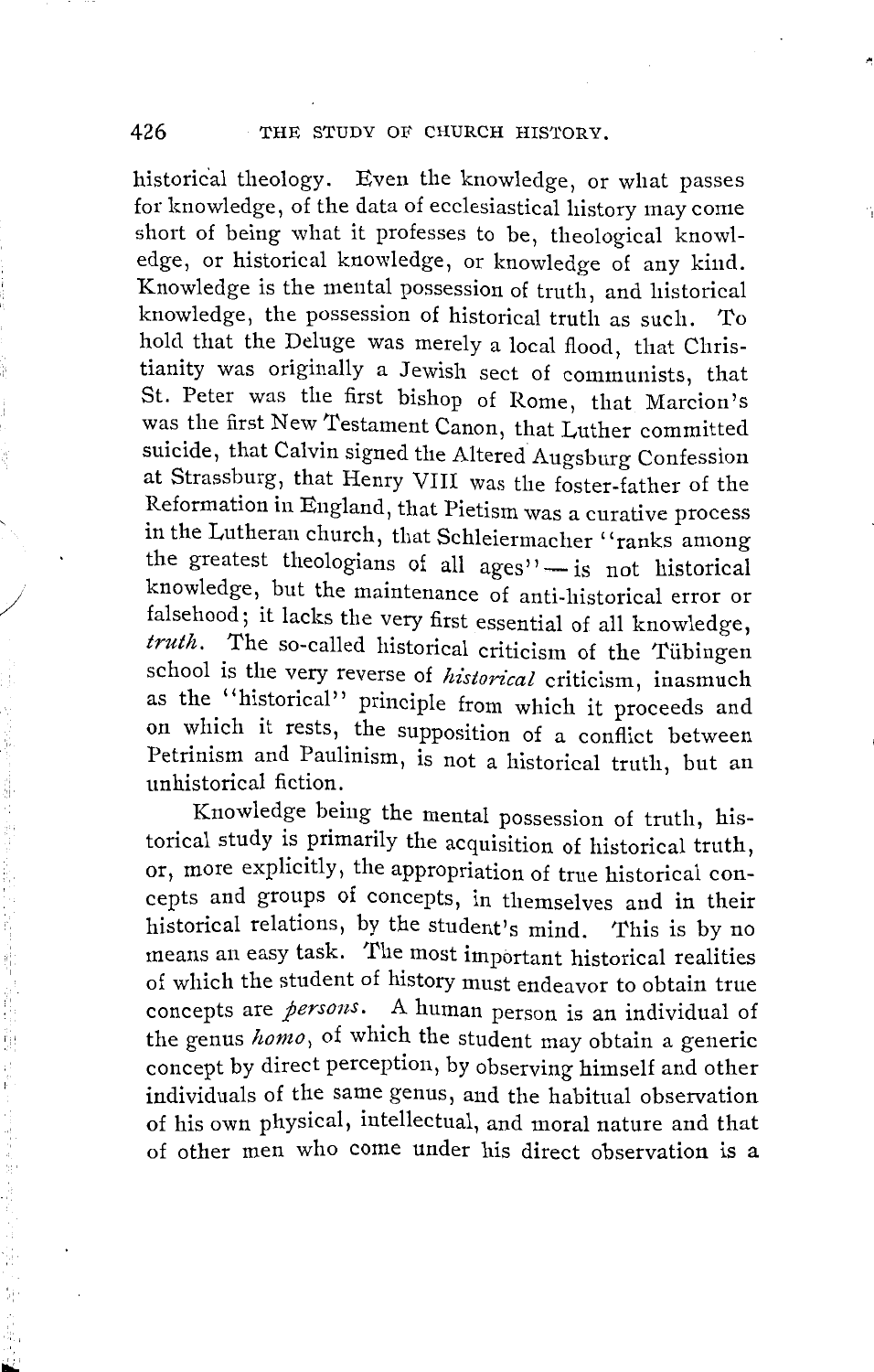historical theology. Even the knowledge, or what passes for knowledge, of the data of ecclesiastical history may come short of being what it professes to be, theological knowledge, or historical knowledge, or knowledge of any kind. Knowledge is the mental possession of truth, and historical knowledge, the possession of historical truth as such. To hold that the Deluge was merely a local flood, that Christianity was originally a Jewish sect of communists, that St. Peter was the first bishop of Rome, that Marcion's was the first New 1'estament Canon, that Luther committed suicide, that Calvin signed the Altered Augsburg Confession at Strassburg, that Henry VIII was the foster-father of the Reformation in England, that Pietism was a curative process in the Lutheran church, that Schleiennacher ''ranks among the greatest theologians of all ages"- is not historical knowledge, but the maintenance of anti-historical error or falsehood; it lacks the very first essential of all knowledge, *truth.* The so-called historical criticism of the Tiibingen school is the very reverse of *historical* criticism, inasmuch as the "historical" principle from which it proceeds and on which it rests, the supposition of a conflict between Petrinism and Paulinism, is not a historical truth, but an unhistorical fiction.

Knowledge being the mental possession of truth, historical study is primarily the acquisition of historical truth, or, more explicitly, the appropriation of true historical concepts and groups of concepts, in themselves and in their historical relations, by the student's mind. This is by no means an easy task. The most important historical realities of which the student of history must endeavor to obtain true concepts are *persons.* A human person is an individual of the genus *homo*, of which the student may obtain a generic concept by direct perception, by observing himself and other individuals of the same genus, and the habitual observation of his own physical, intellectual, and moral nature and that of other men who come under his direct observation is a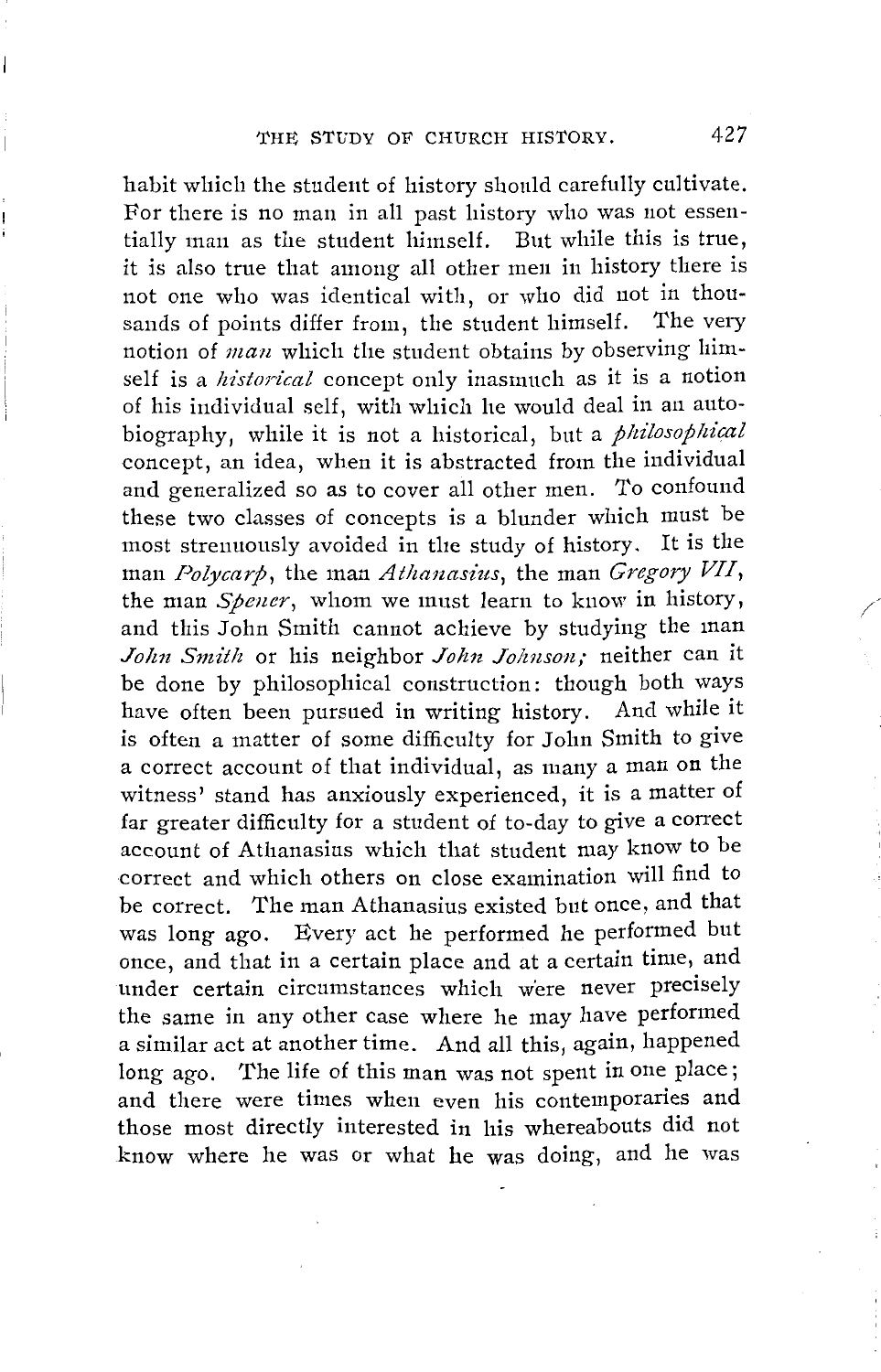habit which the student of history should carefully cultivate. For there is no man in all past history who was not essentially man as the student himself. But while this is true, it is also true that among all other men in history there is not one who was identical with, or who did not in thousands of points differ from, the student himself. The very notion of *man* which the student obtains by observing himself is a *historical* concept only inasmuch as it is a notion of his individual self, with which he would deal in an autobiography, while it is not a historical, but a *philosophical* concept, an idea, when it is abstracted from the individual and generalized so as to cover all other men. To confound these two classes of concepts is a blunder which must be most strenuously avoided in the study of history. It is the man *Polycarp*, the man *Athanasius*, the man *Gregory VII*, the man *Spener,* whom we must learn to know in history, and this John Smith cannot achieve by studying the man John Smith or his neighbor *John Johnson*; neither can it be done by philosophical construction: though both ways have often been pursued in writing history. And while it is often a matter of some difficulty for John Smith to give a correct account of that individual, as many a man on the witness' stand has anxiously experienced, it is a matter of far greater difficulty for a student of to-day to give a correct account of Athanasius which that student may know to be correct and which others on close examination will find to be correct. The man Athanasius existed but once, and that was long ago. Every act he performed he performed but once, and that in a certain place and at a certain time, and under certain circumstances which were never precisely the same in any other case where he may have performed a similar act at another time. And all this, again, happened long ago. The life of this man was not spent in one place; and there were times when even his contemporaries and those most directly interested in his whereabouts did not know where he was or what he was doing, and he was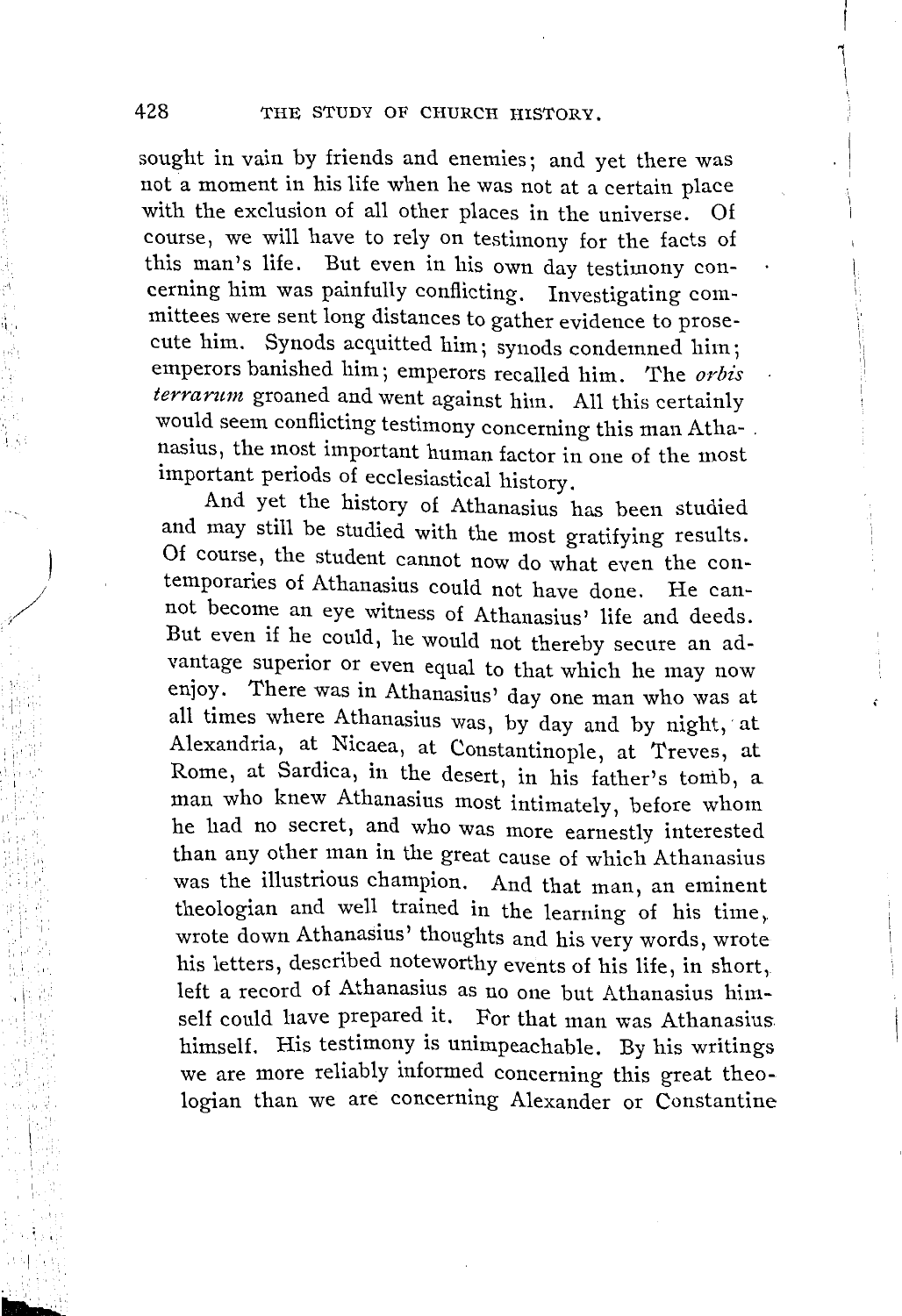I

 $\left| \right|$ 

sought in vain by friends and enemies; and yet there was not a moment in his life when he was not at a certain place with the exclusion of all other places in the universe. Of course, we will have to rely on testimony for the facts of this man's life. But even in his own day testimony concerning him was painfully conflicting. Investigating committees were sent long distances to gather evidence to prosecute him. Synods acquitted him; synods condemned him; emperors banished him; emperors recalled him. The *orbis terrarum* groaned and went against him. All this certainly would seem conflicting testimony concerning this man Atha- . nasius, the most important human factor in one of the most important periods of ecclesiastical history.

And yet the history of Athanasius has been studied and may still be studied with the most gratifying results. Of course, the student cannot now do what even the contemporaries of Athanasius could not have done. He cannot become an eye witness of Athanasius' life and deeds. But even if he could, he would not thereby secure an advantage superior or even equal to that which he may now enjoy. There was in Athanasius' day one man who was at all times where Athanasius was, by day and by night, at Alexandria, at Nicaea, at Constantinople, at Treves, at Rome, at Sardica, in the desert, in his father's tomb, a man who knew Athanasius most intimately, before whom he had no secret, and who was more earnestly interested than any other man in the great cause of which Athanasius was the illustrious champion. And that man, an eminent theologian and well trained in the learning of his time,. wrote down Athanasius' thoughts and his very words, wrote his letters, described noteworthy events of his life, in short, left a record of Athanasius as no one but Athanasius himself could have prepared it. For that man was Athanasius himself. His testimony is unimpeachable. By his writings we are more reliably informed concerning this great theologian than we are concerning Alexander or Constantine

'I,,

, I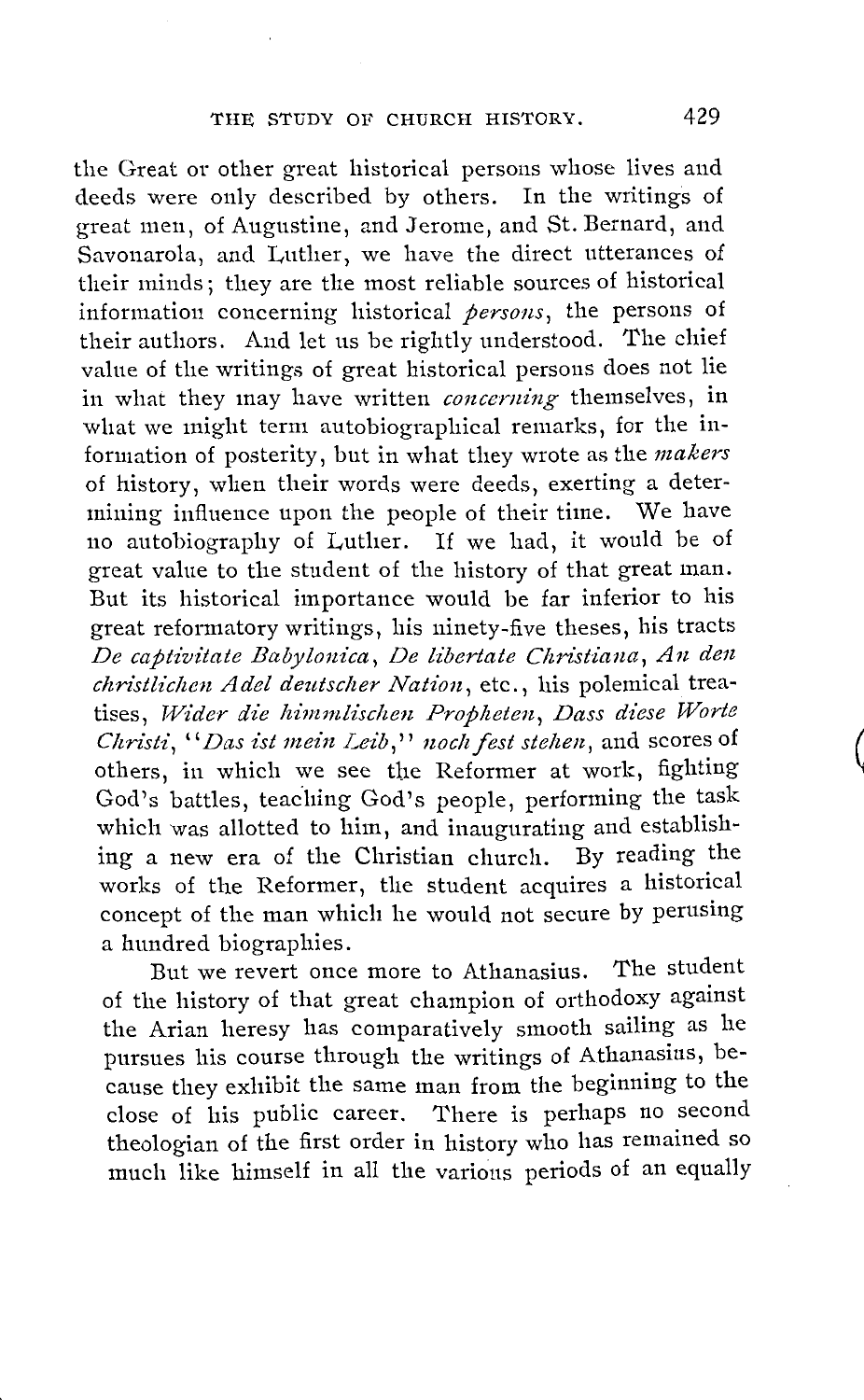the Great or other great historical persons whose lives and deeds were only described by others. In the writings of great men, of Augustine, and Jerome, and St. Bernard, and Savonarola, and Luther, we have the direct utterances of their minds; they are the most reliable sources of historical information concerning historical *persons,* the persons of their authors. And let us be rightly understood. The chief value of the writings of great historical persons does not lie in what they may have written *concerning* themselves, in what we might term autobiographical remarks, for the information of posterity, but in what they wrote as the *makers*  of history, when their words were deeds, exerting a determining influence upon the people of their time. We have no autobiography of Luther. If we had, it would be of great value to the student of the history of that great man. But its historical importance would be far inferior to his great reformatory writings, his ninety-five theses, his tracts De captivitate Babylonica, De libertate Christiana, An den *christlichen Adel deutscher Nation*, etc., his polemical treatises, Wider die himmlischen Propheten, Dass diese Worte *Christi, "Das ist mein Leib," noch fest stehen, and scores of* others, in which we see the Reformer at work, fighting God's battles, teaching God's people, performing the task which was allotted to him, and inaugurating and establishing a new era of the Christian church. By reading the works of the Reformer, the student acquires a historical concept of the man which he would not secure by perusing a hundred biographies.

But we revert once more to Athanasius. The student of the history of that great champion of orthodoxy against the Arian heresy has comparatively smooth sailing as he pursues his course through the writings of Athanasius, because they exhibit the same man from the beginning to the close of his public career. There is perhaps no second theologian of the first order in history who has remained so much like himself in all the various periods of an equally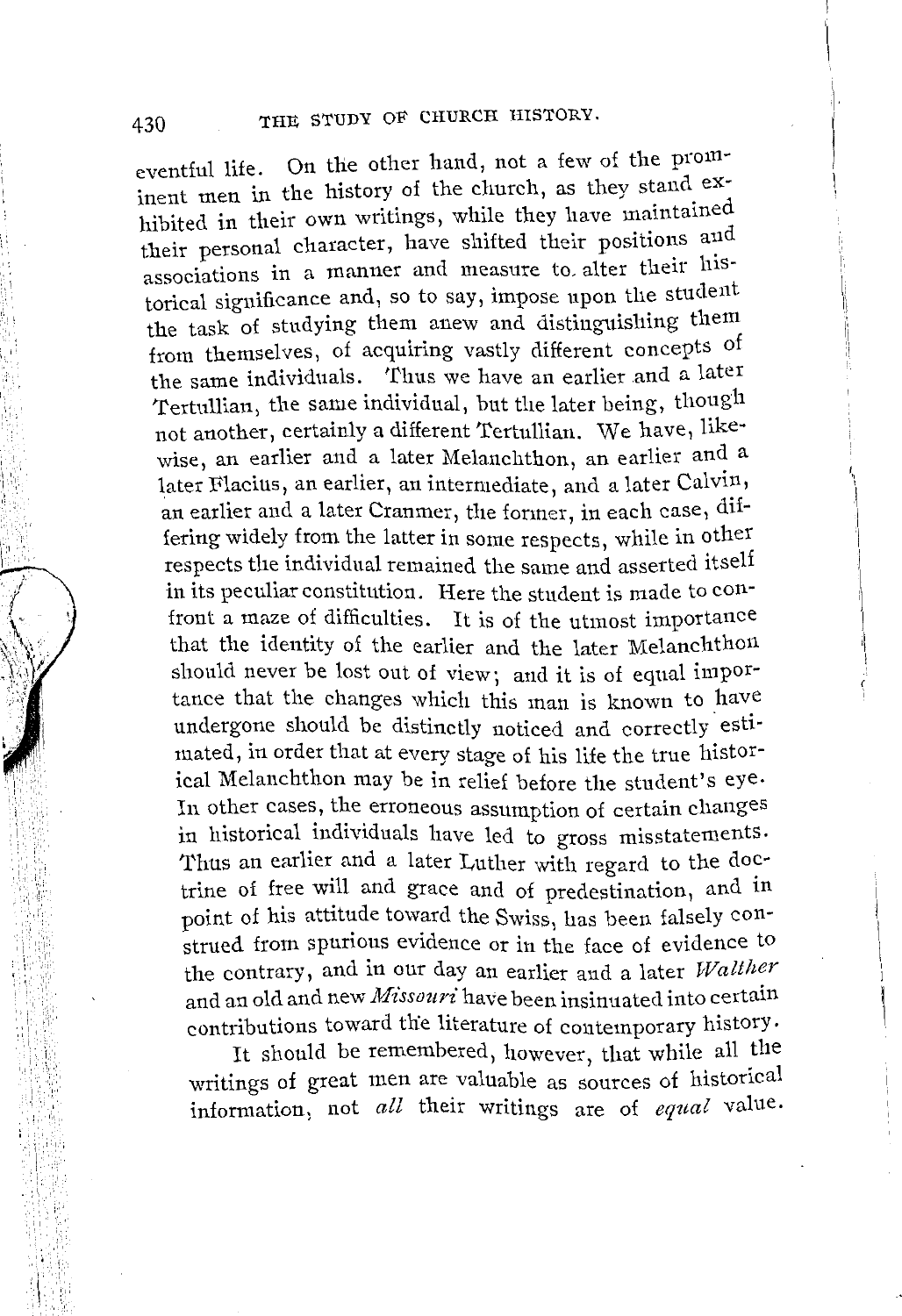eventful life. On the other hand, not a few of the prominent men in the history of the church, as they stand\_ exhibited in their own writings, while they have maintained their personal character, have shifted their positions and associations in a manner and measure to alter their historical significance and, so to say, impose upon the student the task of studying them anew and distinguishing them from themselves, of acquiring vastly different concepts of the same individuals. Thus we have an earlier and a later Tertullian, the same individual, but the later being, though not another, certainly a different Tertullian. We have, likewise, an earlier and a later Melanchthon, an earlier and a later Flacius, an earlier, an intermediate, and a later Calvin, an earlier and a later Cranmer, the former, in each case, differing widely from the latter in some respects, while in other respects the individual remained the same and asserted itself in its peculiar constitution. Here the student is made to confront a maze of difficulties. It is of the utmost importance that the identity of the earlier and the later Melanchthon should never be lost out of view; and it is of equal importance that the changes which this man is known to have undergone should be distinctly noticed and correctly estimated, in order that at every stage of his life the true historical Melanchthon may be in relief before the student's eye. In other cases, the erroneous assumption of certain changes in historical individuals have led to gross misstatements. Thus an earlier and a later Luther with regard to the doctrine of free will and grace and of predestination, and in point of his attitude toward the Swiss, has been falsely construed from spurious evidence or in the face of evidence to the contrary, and in our day an earlier and a later Walther and an old and new *Missouri* have been insinuated into certain contributions toward the literature of contemporary history.

It should be remembered, however, that while all the writings of great men are valuable as sources of historical information, not *all* their writings are of *equal* value.

I ,, 'i!: :, ,,

',',,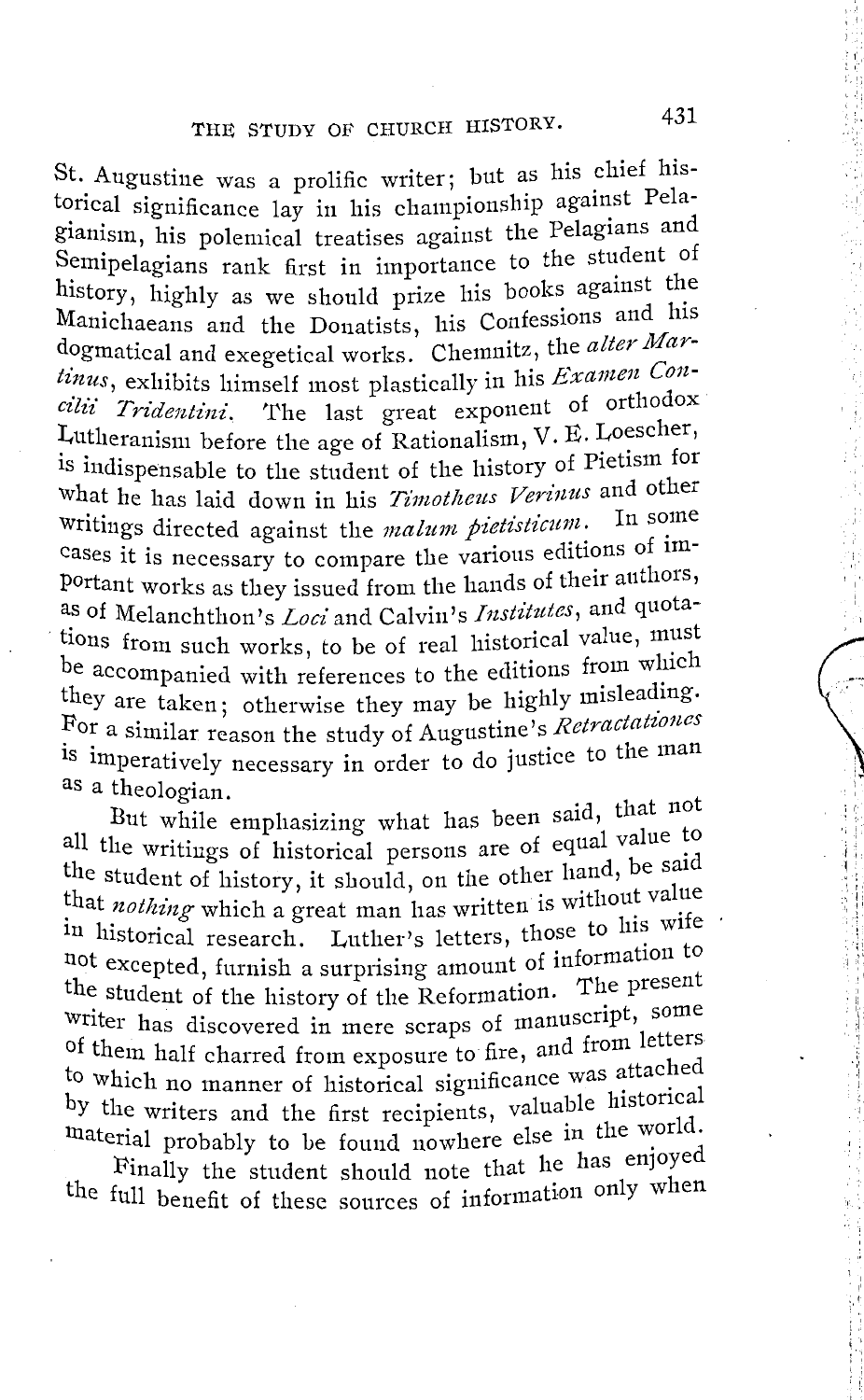St. Augustine was a prolific writer; but as his chief historical significance lay in his championship against Pelagianism, his polemical treatises against the Pelagians and Semipelagians rank first in importance to the student of history, highly as we should prize his books against the Manichaeans and the Donatists, his Confessions and his dogmatical and exegetical works. Chemnitz, the *alter Martinus*, exhibits himself most plastically in his *Examen Con*cilii Tridentini. The last great exponent of orthodox Lutheranism before the age of Rationalism, V. E. Loescher, is indispensable to the student of the history of Pietism for what he has laid down in his *Timotheus Verinus* and other writings directed against the *malum pietisticum*. In some cases it is necessary to compare the various editions of important works as they issued from the hands of their authors, as of Melanchthon's *Loci* and Calvin's *Institutes*, and quotations from such works, to be of real historical value, must be accompanied with references to the editions from which they are taken; otherwise they may be highly misleading. For a similar reason the study of Augustine's *Retractationes* is imperatively necessary in order to do justice to the man as a theologian.

But while emphasizing what has been said, that not all the writings of historical persons are of equal value to the student of history, it should, on the other hand, be said that *nothing* which a great man has written is without value in historical research. Luther's letters, those to his wife not excepted, furnish a surprising amount of information to the student of the history of the Reformation. The present Writer has discovered in mere scraps of manuscript, some of them half charred from exposure to fire, and from letters to which no manner of historical significance was attached by the writers and the first recipients, valuable historical material probably to be found nowhere else in the world.

Finally the student should note that he has enjoyed the full benefit of these sources of information only when  $!$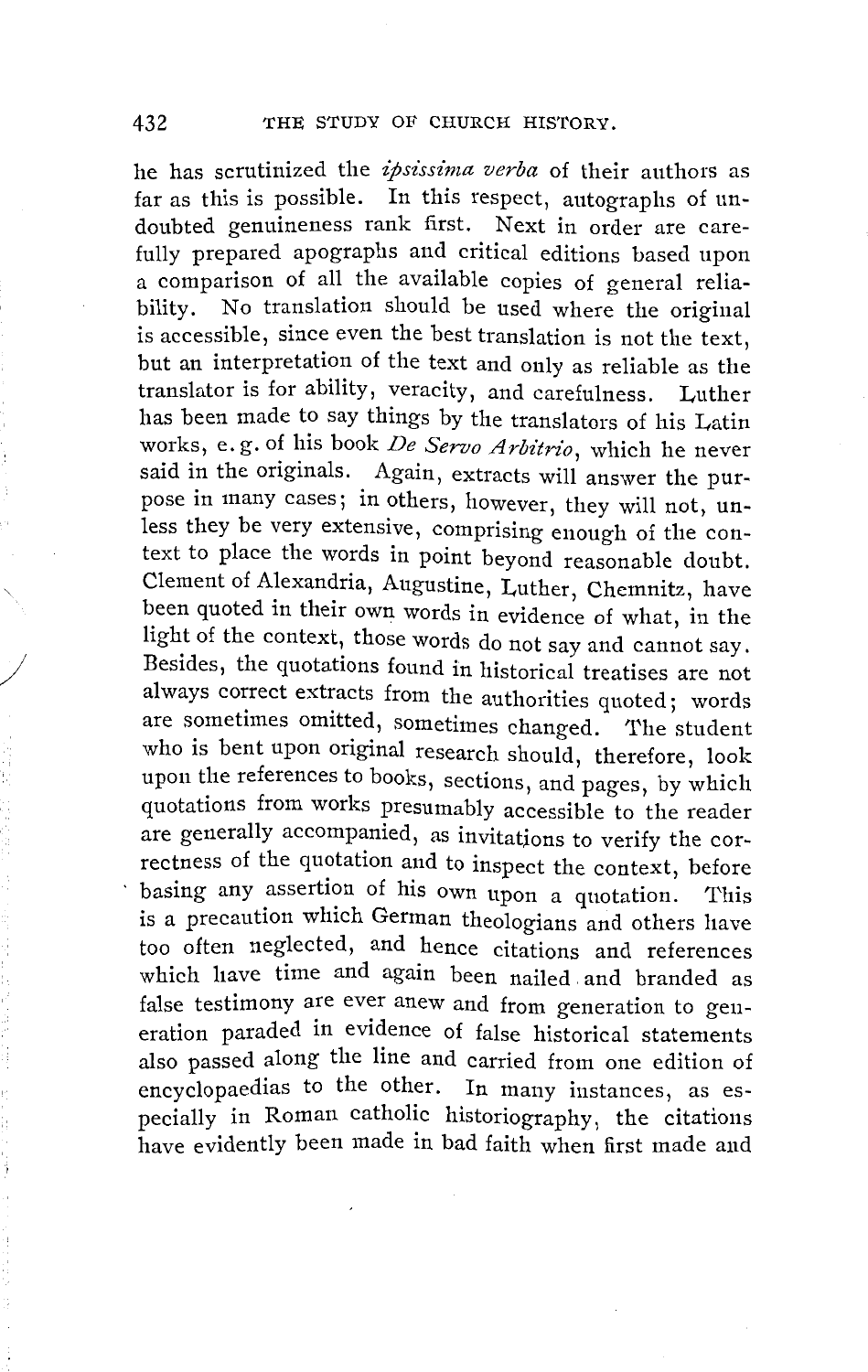he has scrutinized the *zpsissima verba* of their authors as far as this is possible. In this respect, autographs of undoubted genuineness rank first. Next in order are carefully prepared apographs and critical editions based upon a comparison of all the available copies of general reliability. No translation should be used where the original is accessible, since even the best translation is not the text, but an interpretation of the text and only as reliable as the translator is for ability, veracity, and carefulness. Luther has been made to say things by the translators of his Latin works, e.g. of his book *De Servo Arbitrio*, which he never said in the originals. Again, extracts will answer the purpose in many cases; in others, however, they will not, unless they be very extensive, comprising enough of the context to place the words in point beyond reasonable doubt. Clement of Alexandria, Augustine, Luther, Chemnitz, have been quoted in their own words in evidence of what, in the light of the context, those words do not say and cannot say. Besides, the quotations found in historical treatises are not always correct extracts from the authorities quoted; words are sometimes omitted, sometimes changed. The student who is bent upon original research should, therefore, look upon the references to books, sections, and pages, by which quotations from works presumably accessible to the reader are generally accompanied, as invitations to verify the correctness of the quotation and to inspect the context, before basing any assertion of his own upon a quotation. This is a precaution which German theologians and others have too often neglected, and hence citations and references which have time and again been nailed. and branded as false testimony are ever anew and from generation to generation paraded in evidence of false historical statements also passed along the line and carried from one edition of encyclopaedias to the other. In many instances, as especially in Roman catholic historiography, the citations have evidently been made in bad faith when first made and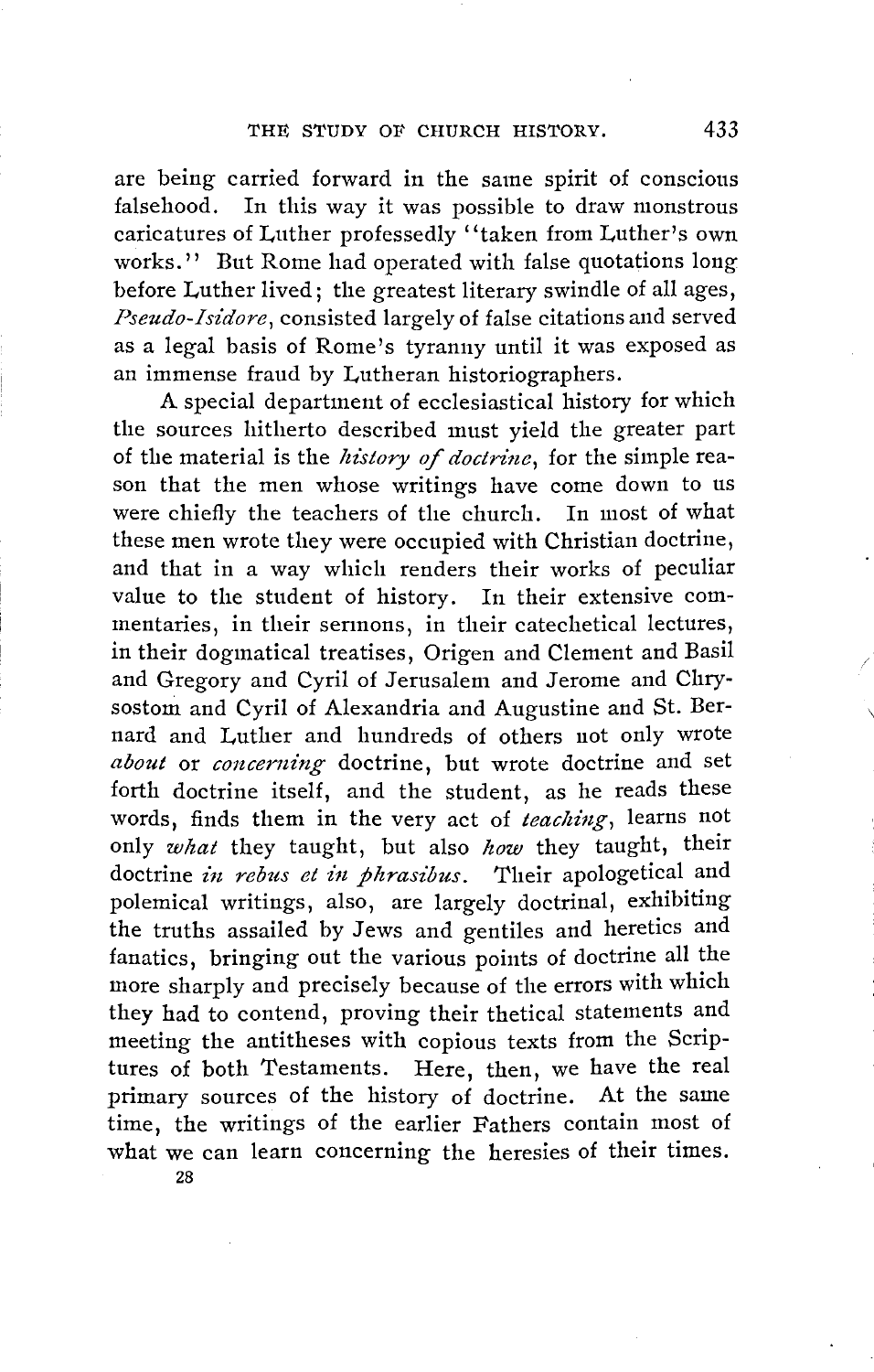are being carried forward in the same spirit of conscious falsehood. In this way it was possible to draw monstrous caricatures of Luther professedly ''taken from Luther's own works.'' But Rome had operated with false quotations long before Luther lived; the greatest literary swindle of all ages, Pseudo-Isidore, consisted largely of false citations and served as a legal basis of Rome's tyranny until it was exposed as an immense fraud by Lutheran historiographers.

A special department of ecclesiastical history for which the sources hitherto described must yield the greater part of the material is the *history of doctrine*, for the simple reason that the men whose writings have come down to us were chiefly the teachers of the church. In most of what these men wrote they were occupied with Christian doctrine, and that in a way which renders their works of peculiar value to the student of history. In their extensive commentaries, in their sermons, in their catechetical lectures, in their dogmatical treatises, Origen and Clement and Basil and Gregory and Cyril of Jerusalem and Jerome and Chrysostom and Cyril of Alexandria and Augustine and St. Bernard and Luther and hundreds of others not only wrote about or *concerning* doctrine, but wrote doctrine and set forth doctrine itself, and the student, as he reads these words, finds them in the very act of *teaching*, learns not only *what* they taught, but also *how* they taught, their doctrine *in rebus et in phrasibus*. Their apologetical and polemical writings, also, are largely doctrinal, exhibiting the truths assailed by Jews and gentiles and heretics and fanatics, bringing out the various points of doctrine all the more sharply and precisely because of the errors with which they had to contend, proving their thetical statements and meeting the antitheses with copious texts from the Scriptures of both Testaments. Here, then, we have the real primary sources of the history of doctrine. At the same time, the writings of the earlier Fathers contain most of what we can learn concerning the heresies of their times.

 $\setminus$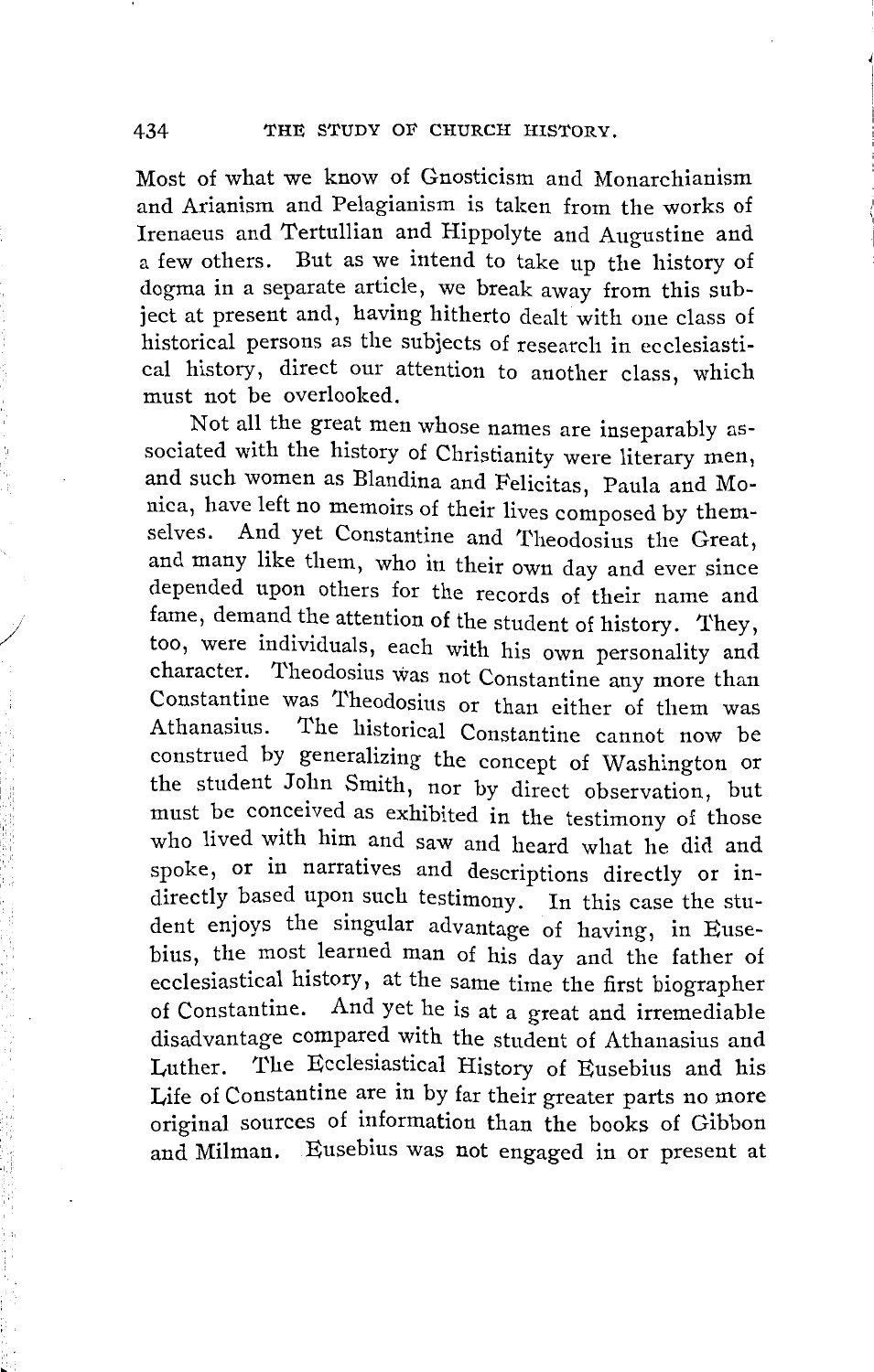Most of what we know of Gnosticism and Monarchianism and Arianism and Pelagianism is taken from the works of Irenaeus and Tertullian and Hippolyte and Augustine and a few others. But as we intend to take up the history of dogma in a separate article, we break away from this subject at present and, having hitherto dealt with one class of historical persons as the subjects of research in ecclesiastical history, direct our attention to another class, which must not be overlooked.

Not all the great men whose names are inseparably associated with the history of Christianity were literary men, and such women as Blandina and Felicitas, Paula and Monica, have left no memoirs of their lives composed by themselves. And yet Constantine and Theodosius the Great, and many like them, who in their own day and ever since depended upon others for the records of their name and fame, demand the attention of the student of history. They, too, were individuals, each with his own personality and character. Theodosius was not Constantine any more than Constantine was 1'heodosius or than either of them was Athanasius. The historical Constantine cannot now be construed by generalizing the concept of Washington or the student John Smith, nor by direct observation, but must be conceived as exhibited in the testimony of those who lived with him and saw and heard what he did and spoke, or in narratives and descriptions directly or indirectly based upon such testimony. In this case the student enjoys the singular advantage of having, in Eusebius, the most learned man of his day and the father of ecclesiastical history, at the same time the first biographer of Constantine. And yet he is at a great and irremediable disadvantage compared with the student of Athanasius and Luther. The Ecclesiastical History of Eusebius and his Life of Constantine are in by far their greater parts no more original sources of information than the books of Gibbon and Milman. Eusebius was not engaged in or present at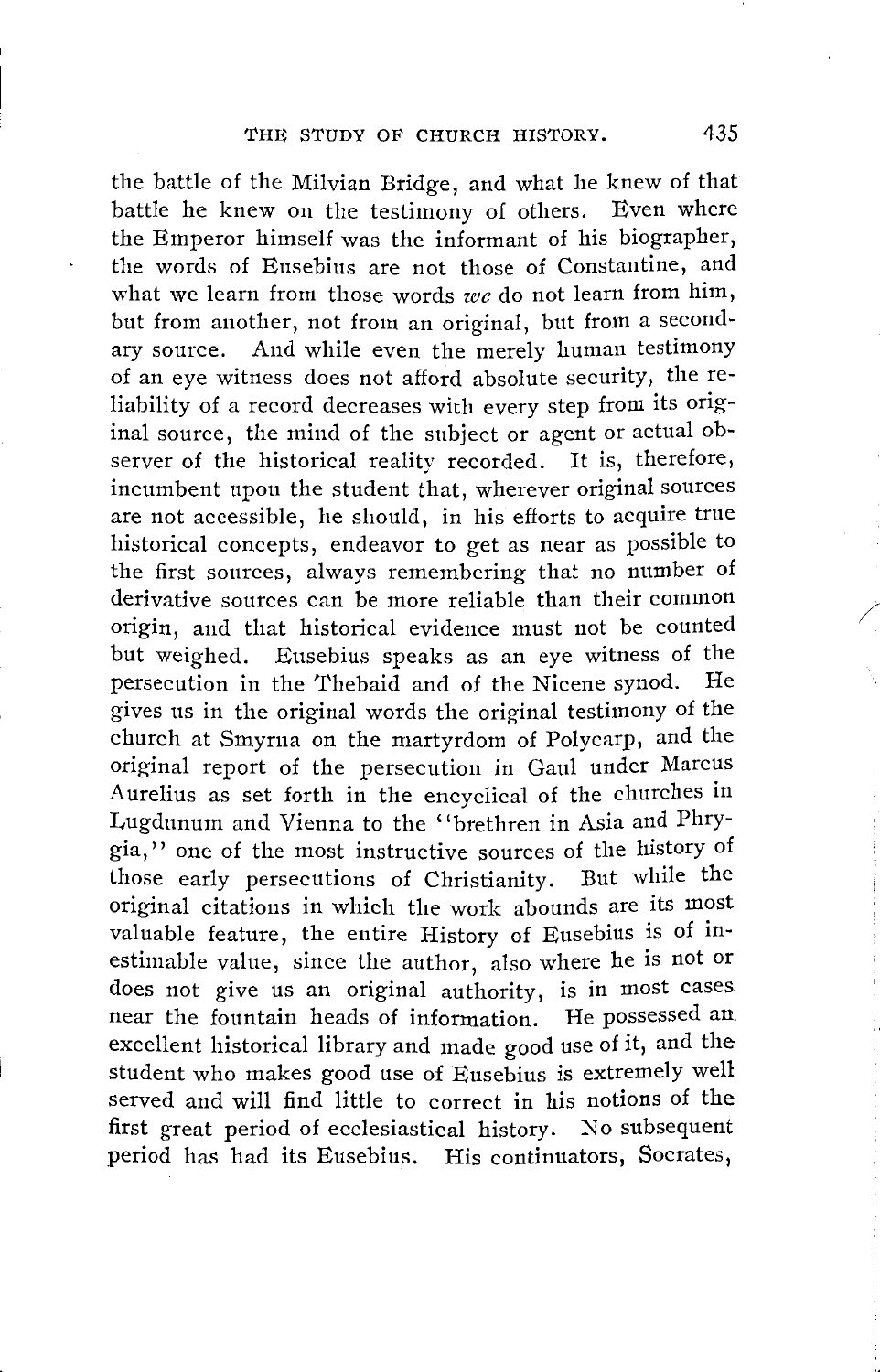the battle of the Milvian Bridge, and what he knew of that battle he knew on the testimony of others. Even where the Emperor himself was the informant of his biographer, the words of Eusebius are not those of Constantine, and what we learn from those words *we* do not learn from him, but from another, not from an original, but from a secondary source. And while even the merely human testimony of an eye witness does not afford absolute security, the reliability of a record decreases with every step from its original source, the mind of the subject or agent or actual observer of the historical reality recorded. It is, therefore, incumbent upon the student that, wherever original sources are not accessible, he should, in his efforts to acquire true historical concepts, endeavor to get as near as possible to the first sources, always remembering that no number of derivative sources can be more reliable than their common origin, and that historical evidence must not be counted but weighed. Eusebius speaks as an eye witness of the persecution in the Thebaid and of the Nicene synod. He gives us in the original words the original testimony of the church at Smyrna on the martyrdom of Polycarp, and the original report of the persecution in Gaul under Marcus Aurelius as set forth in the encyclical of the churches in Lugdunum and Vienna to the ''brethren in Asia and Phrygia,'' one of the most instructive sources of the history of those early persecutions of Christianity. But while the original citations in which the work abounds are its most valuable feature, the entire History of Eusebius is of inestimable value, since the author, also where he is not or does not give us an original authority, is in most cases. near the fountain heads of information. He possessed an. excellent historical library and made good use of it, and the student who makes good use of Eusebius is extremely well served and will find little to correct in his notions of the first great period of ecclesiastical history. No subsequent period has had its Eusebius. His continuators, Socrates,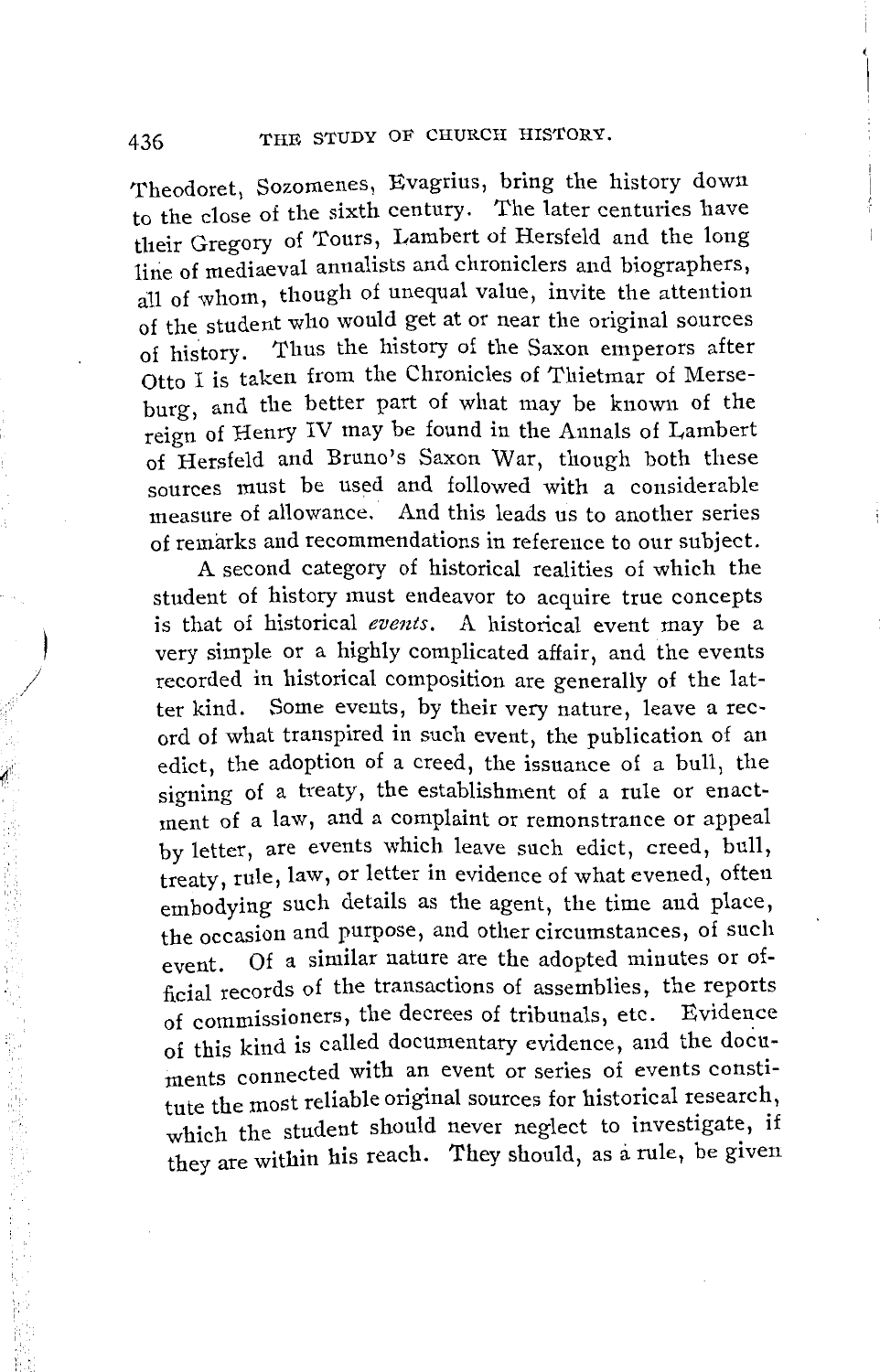Theodoret, Sozomenes, Evagrius, bring the history down to the close of the sixth century. The later centuries have their Gregory of Tours, Lambert of Hersfeld and the long line of mediaeval annalists and chroniclers and biographers, all of whom, though of unequal value, invite the attention of the student who would get at or near the original sources of history. Thus the history of the Saxon emperors after Otto I is taken from the Chronicles of Thietmar of Merseburg, and the better part of what may be known of the reign of Henry IV may be found in the Annals of Lambert of Hersfeld and Bruno's Saxon War, though both these sources must be used and followed with a considerable measure of allowance. And this leads us to another series of remarks and recommendations in reference to our subject.

A second category of historical realities of which the student of history must endeavor to acquire true concepts is that of historical *events.* A historical event may be a very simple or a highly complicated affair, and the events recorded in historical composition are generally of the latter kind. Some events, by their very nature, leave a record of what transpired in such event, the publication of an edict, the adoption of a creed, the issuance of a bull, the signing of a treaty, the establishment of a rule or enactment of a law, and a complaint or remonstrance or appeal by letter, are events which leave such edict, creed, bull, treaty, rule, law, or letter in evidence of what evened, often embodying such details as the agent, the time and place, the occasion and purpose, and other circumstances, of such event. Of a similar nature are the adopted minutes or official records of the transactions of assemblies, the reports of commissioners, the decrees of tribunals, etc. Evidence of this kind is called documentary evidence, and the documents connected with an event or series of events constitute the most reliable original sources for historical research, **which** the student should never neglect to investigate, if they are within his reach. They should, as a rule, be given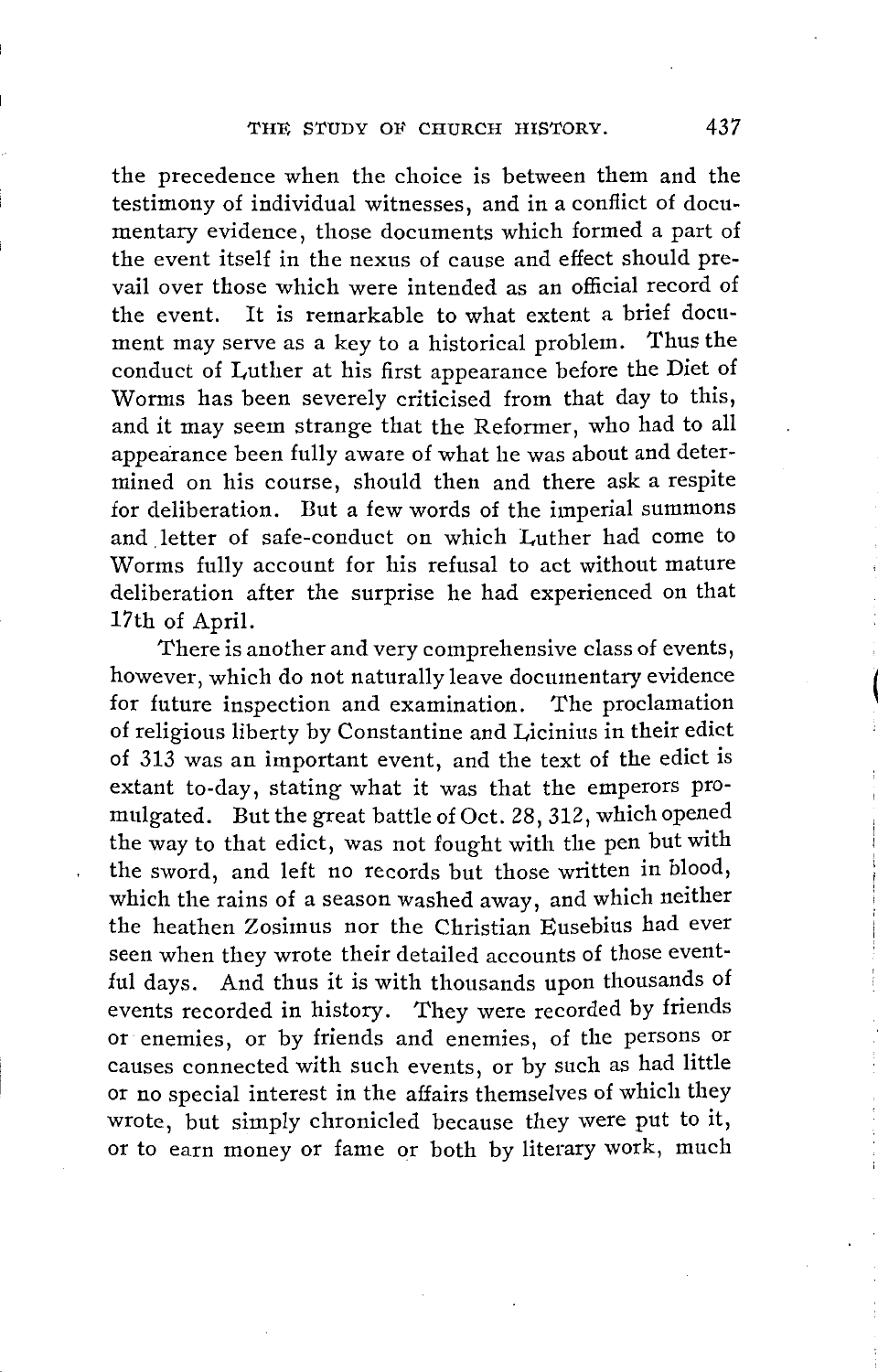the precedence when the choice is between them and the testimony of individual witnesses, and in a conflict of documentary evidence, those documents which formed a part of the event itself in the nexus of cause and effect should prevail over those which were intended as an official record of the event. It is remarkable to what extent a brief document may serve as a key to a historical problem. Thus the conduct of Luther at his first appearance before the Diet of Worms has been severely criticised from that day to this, and it may seem strange that the Reformer, who had to all appearance been fully aware of what he was about and determined on his course, should then and there ask a respite for deliberation. But a few words of the imperial summons and letter of safe-conduct on which Luther had come to Worms fully account for his refusal to act without mature deliberation after the surprise he had experienced on that 17th of April.

There is another and very comprehensive class of events, however, which do not naturally leave documentary evidence for future inspection and examination. The proclamation of religious liberty by Constantine and Licinius in their edict of 313 was an important event, and the text of the edict is extant to-day, stating what it was that the emperors promulgated. But the great battle of Oct. 28, 312, which opened the way to that edict, was not fought with the pen but with the sword, and left no records but those written in blood, which the rains of a season washed away, and which neither the heathen Zosimus nor the Christian Eusebius had ever seen when they wrote their detailed accounts of those eventful days. And thus it is with thousands upon thousands of events recorded in history. They were recorded by friends or enemies, or by friends and enemies, of the persons or causes connected with such events, or by such as had little or no special interest in the affairs themselves of which they wrote, but simply chronicled because they were put to it, or to earn money or fame or both by literary work, much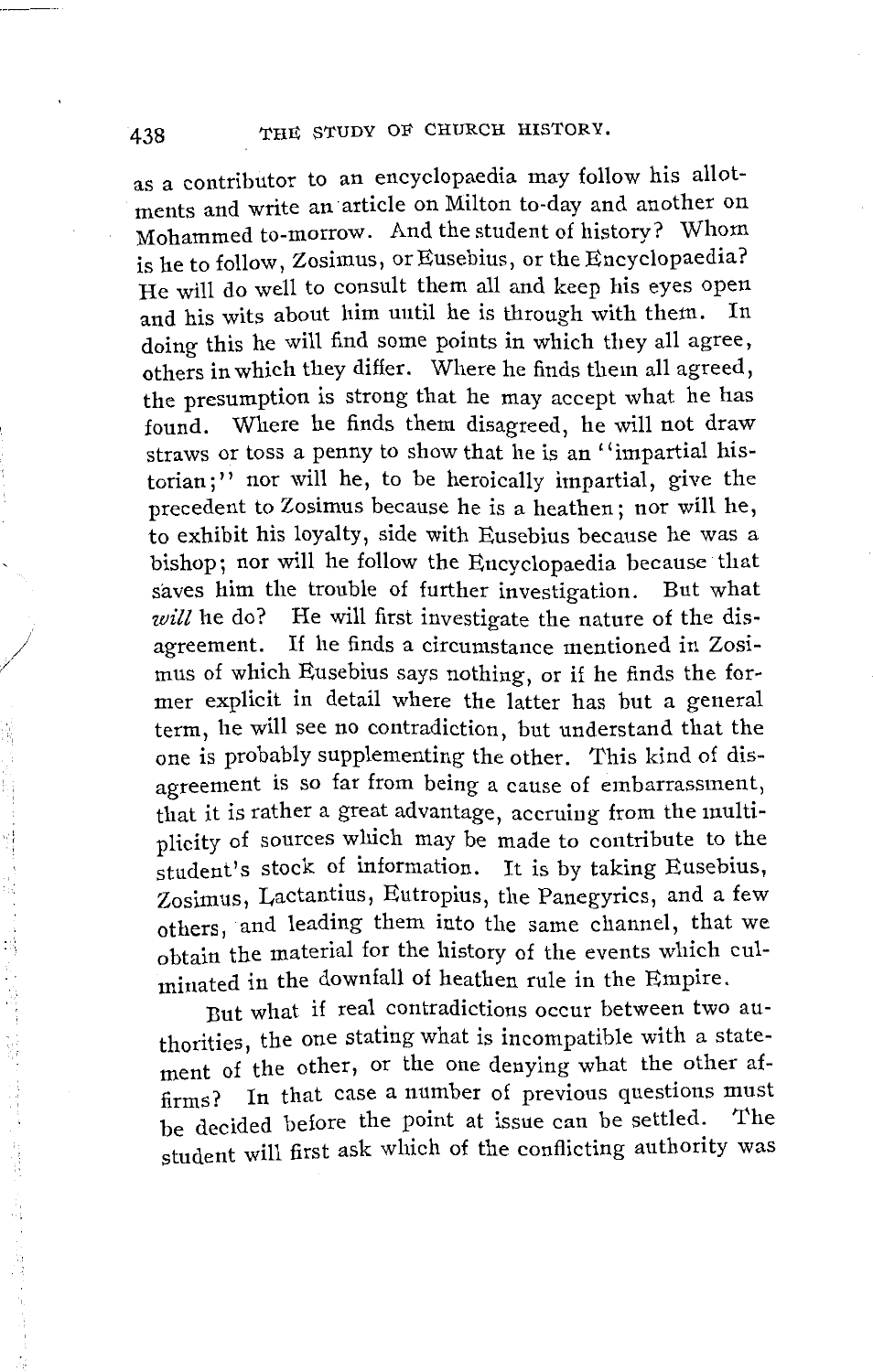as a contributor to an encyclopaedia may follow his allotments and write an article on Milton to-day and another on Mohammed to-morrow. And the student of history? Whom is he to follow, Zosimus, or Eusebius, or the Encyclopaedia? He will do well to consult them all and keep his eyes open and his wits about him until he is through with them. In doing this he will find some points in which they all agree, others in which they differ. Where he finds them all agreed, the presumption is strong that he may accept what he has found. Where he finds them disagreed, he will not draw straws or toss a penny to show that he is an '' impartial historian;'' nor will he, to be heroically impartial, give the precedent to Zosimus because he is a heathen; nor will he, to exhibit his loyalty, side with Eusebius because he was a bishop; nor will he follow the Encyclopaedia because that saves him the trouble of further investigation. But what *will* he do? He will first investigate the nature of the disagreement. If he finds a circumstance mentioned in Zosimus of which Eusebius says nothing, or if he finds the former explicit in detail where the latter has but a general term, he will see no contradiction, but understand that the one is probably supplementing the other. This kind of disagreement is so far from being a cause of embarrassment, that it is rather a great advantage, accruing from the multiplicity of sources which may be made to contribute to the student's stock of information. It is by taking Eusebius, Zosimus, Lactantius, Eutropius, the Panegyrics, and a few others, and leading them into the same channel, that we obtain the material for the history of the events which culminated in the downfall of heathen rule in the Empire.

But what if real contradictions occur between two authorities, the one stating what is incompatible with a statement of the other, or the one denying what the other affirms? In that case a number of previous questions must be decided before the point at issue can be settled. The student will first ask which of the conflicting authority was

*I* 

 $\label{eq:1.1} \begin{array}{cccccccccc} \mathbb{P} & \mathbb{P} & \mathbb{P} & \mathbb{P} & \mathbb{P} & \mathbb{P} & \mathbb{P} & \mathbb{P} & \mathbb{P} & \mathbb{P} & \mathbb{P} & \mathbb{P} & \mathbb{P} & \mathbb{P} & \mathbb{P} & \mathbb{P} & \mathbb{P} & \mathbb{P} & \mathbb{P} & \mathbb{P} & \mathbb{P} & \mathbb{P} & \mathbb{P} & \mathbb{P} & \mathbb{P} & \mathbb{P} & \mathbb{P} & \mathbb{P} & \mathbb{P}$ 

医斯尔德斯氏征静脉 医血管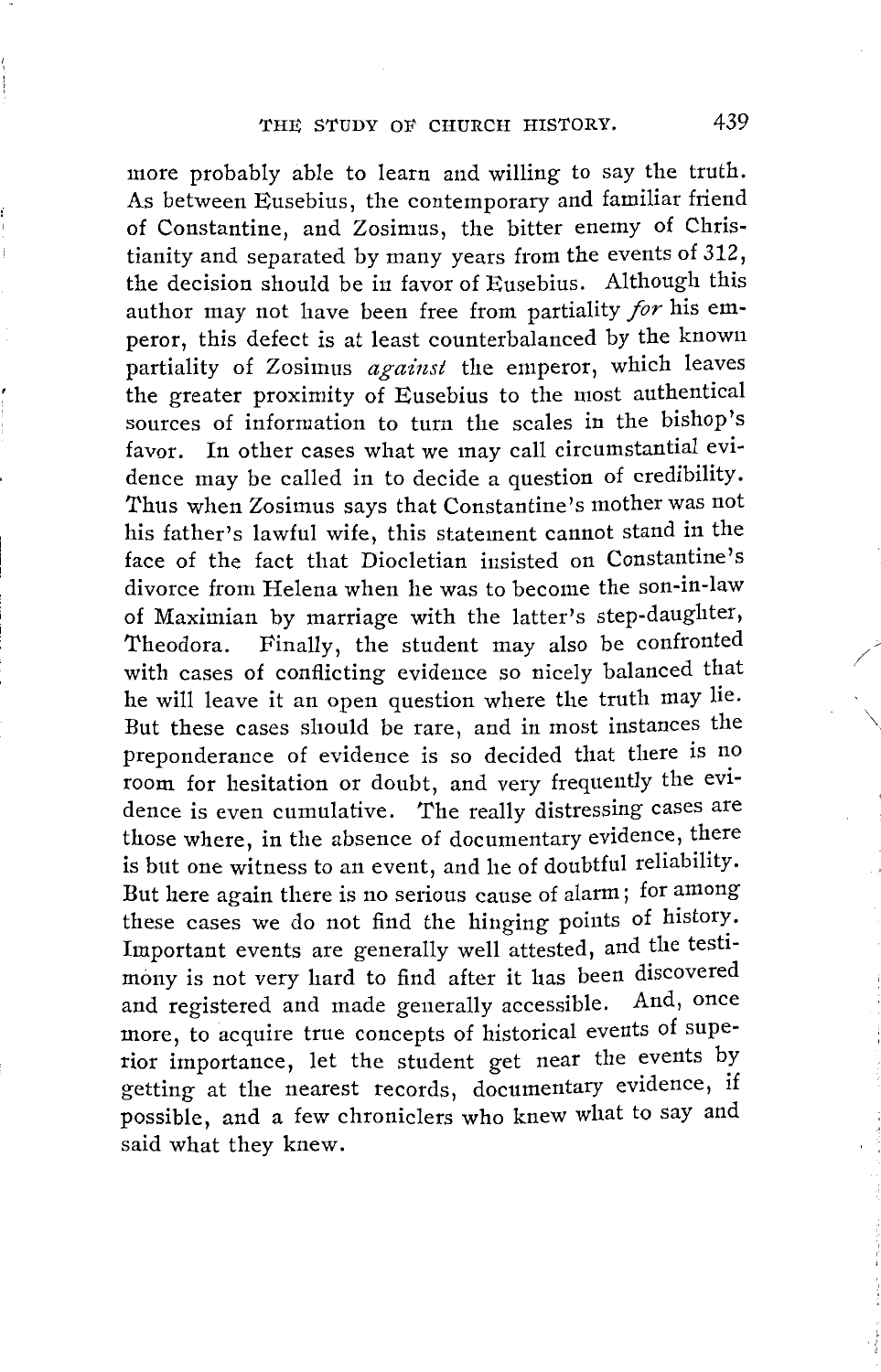more probably able to learn and willing to say the truth. As between Eusebius, the contemporary and familiar friend of Constantine, and Zosimus, the bitter enemy of Christianity and separated by many years from the events of 312, the decision should be in favor of Eusebius. Although this author may not have been free from partiality *for* his emperor, this defect is at least counterbalanced by the known partiality of Zosimus *against* the emperor, which leaves the greater proximity of Eusebius to the most authentical sources of information to turn the scales in the bishop's favor. In other cases what we may call circumstantial evidence may be called in to decide a question of credibility. Thus when Zosimus says that Constantine's mother was not his father's lawful wife, this statement cannot stand in the face of the fact that Diocletian insisted on Constantine's divorce from Helena when he was to become the son-in-law of Maximian by marriage with the latter's step-daughter, Theodora. Finally, the student may also be confronted with cases of conflicting evidence so nicely balanced that he will leave it an open question where the truth may lie. But these cases should be rare, and in most instances the preponderance of evidence is so decided that there is no room for hesitation or doubt, and very frequently the evidence is even cumulative. The really distressing cases are those where, in the absence of documentary evidence, there is but one witness to an event, and he of doubtful reliability. But here again there is no serious cause of alarm; for among these cases we do not find the hinging points of history. Important events are generally well attested, and the testimony is not very hard to find after it has been discovered and registered and made generally accessible. And, once more, to acquire true concepts of historical events of superior importance, let the student get near the events by getting at the nearest records, documentary evidence, if possible, and a few chroniclers who knew what to say and said what they knew.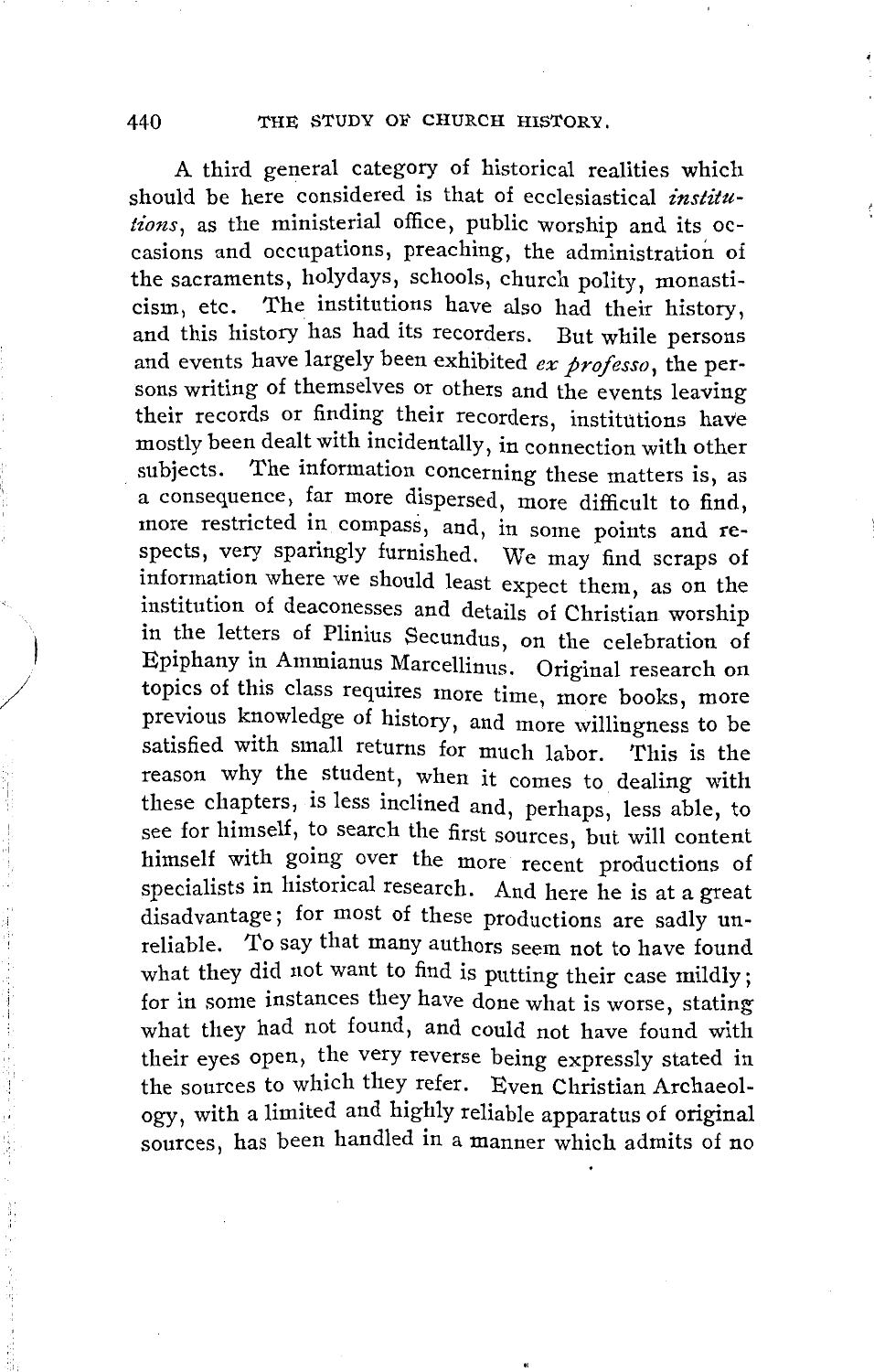A third general category of historical realities which should be here considered is that of ecclesiastical *institutions*, as the ministerial office, public worship and its occasions and occupations, preaching, the administration of the sacraments, holydays, schools, church polity, monasticism, etc. The institutions have also had their history, and this history has had its recorders. But while persons and events have largely been exhibited *ex professo,* the persons writing of themselves or others and the events leaving their records or finding their recorders, institutions have mostly been dealt with incidentally, in connection with other subjects. The information concerning these matters is, as a consequence, far more dispersed, more difficult to find, more restricted in compass, and, in some points and respects, very sparingly furnished. We may find scraps of information where we should least expect them, as on the institution of deaconesses and details of Christian worship in the letters of Plinius Secundus, on the celebration of Epiphany in Ammianus Marcellinus. Original research on topics of this class requires more time, more books, more previous knowledge of history, and more willingness to be satisfied with small returns for much labor. This is the reason why the student, when it comes to dealing with these chapters, is less inclined and, perhaps, less able, to see for himself, to search the first sources, but will content himself with going over the more recent productions of specialists in historical research. And here he is at a great disadvantage; for most of these productions are sadly unreliable. *'to* say that many authors seem not to have found what they did not want to find is putting their case mildly; for in some instances they have done what is worse, stating what they had not found, and could not have found with their eyes open, the very reverse being expressly stated in the sources to which they refer. Even Christian Archaeology, with a limited and highly reliable apparatus of original sources, has been handled in a manner which admits of no

j

 $\overline{\phantom{a}}$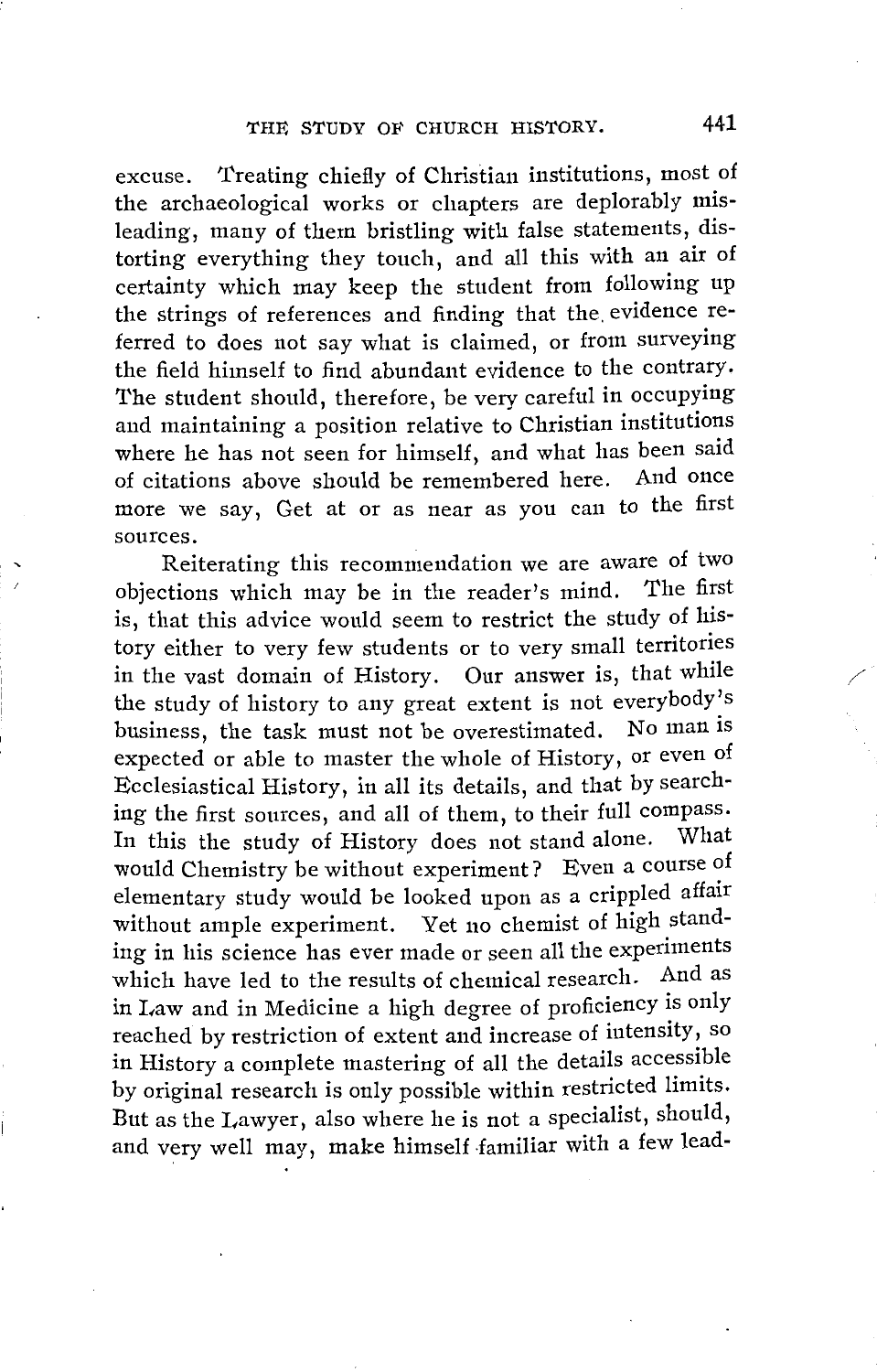excuse. Treating chiefly of Christian institutions, most of the archaeological works or chapters are deplorably misleading, many of them bristling with false statements, distorting everything they touch, and all this with an air of certainty which may keep the student from following up the strings of references and finding that the. evidence referred to does not say what is claimed, or from surveying the field himself to find abundant evidence to the contrary. The student should, therefore, be very careful in occupying and maintaining a position relative to Christian institutions where he has not seen for himself, and what has been said of citations above should be remembered here. And once more we say, Get at or as near as you can to the first sources.

Reiterating this recommendation we are aware of two objections which may be in the reader's mind. The first is, that this advice would seem to restrict the study of history either to very few students or to very small territories in the vast domain of History. Our answer is, that while the study of history to any great extent is not everybody's business, the task must not be overestimated. No man is expected or able to master the whole of History, or even of Ecclesiastical History, in all its details, and that by searching the first sources, and all of them, to their full compass. In this the study of History does not stand alone. What would Chemistry be without experiment? Even a course of elementary study would be looked upon as a crippled affair without ample experiment. Yet no chemist of high standing in his science has ever made or seen all the experiments which have led to the results of chemical research. And as in Law and in Medicine a high degree of proficiency is only reached by restriction of extent and increase of intensity, so in History a complete mastering of all the details accessible by original research is only possible within restricted limits. But as the Lawyer, also where he is not a specialist, should, and very well may, make himself familiar with a few lead-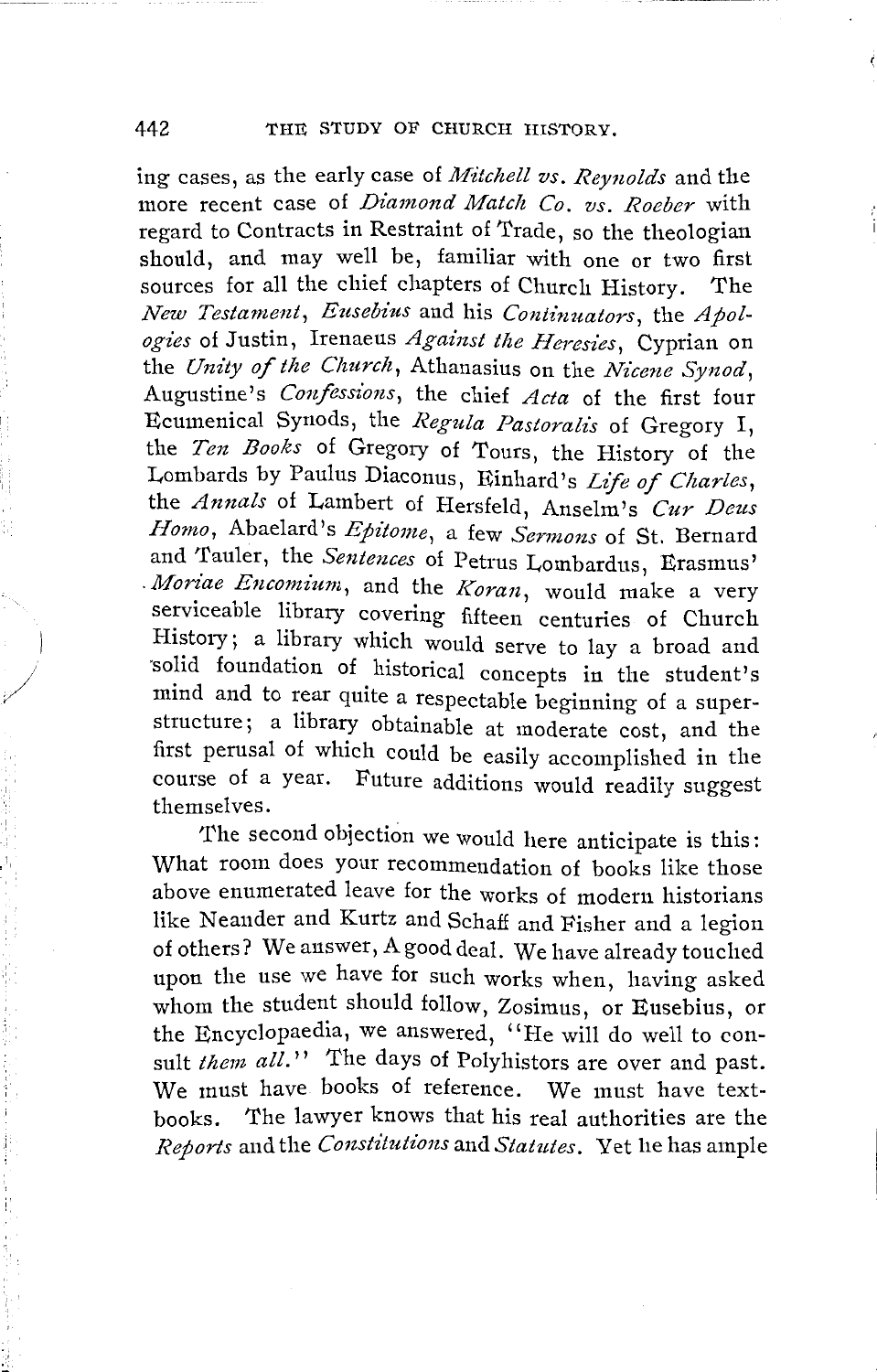442 THE STUDY OF CHURCH HISTORY.

ing cases, as the early case of *Mitchell vs. Reynolds* and the more recent case of *Diamond Match Co. vs. Roeber* with regard to Contracts in Restraint of Trade, so the theologian should, and may well be, familiar with one or two first sources for all the chief chapters of Church History. The *New Testa·ment, Eusebius* and his *Continuators,* the *Apologies* of Justin, Irenaeus *Against the Heresies,* Cyprian on the *Unity of the Church,* Athanasius on the *Nicene Synod,*  Augustine's *Confessions,* the chief *Acta* of the first four Ecumenical Synods, the *Regula Pastoralz's* of Gregory I, the *Ten Books* of Gregory of Tours, the History of the Lombards by Paulus Diaconus, Einhard's *Life of Charles,*  the *Annals* of Lambert of Hersfeld, Anselm's *Cur Deus .l-Iomo,* Abaelard's *Epitome,* a few *Sermons* of St. Bernard and Tauler, the *Sentences* of Petrus Lombardus, Erasmus' *Moriae Encomium*, and the *Koran*, would make a very serviceable library covering fifteen centuries of Church History; a library which would serve to lay a broad and ·solid foundation of historical concepts in the student's mind and to rear quite a respectable beginning of a superstructure; a library obtainable at moderate cost, and the first perusal of which could be easily accomplished in the course of a year. Future additions would readily suggest themselves.

The second objection we would here anticipate is this: What room does your recommendation of books like those above enumerated leave for the works of modern historians like Neander and Kurtz and Schaff and Fisher and a legion of others? We answer, A good deal. We have already touched upon the use we have for such works when, having asked whom the student should follow, Zosimus, or Eusebius, or the Encyclopaedia, we answered, "He will do well to consult *them all.*" The days of Polyhistors are over and past. We must have books of reference. We must have textbooks. The lawyer knows that his real authorities are the *Reports* and the *Constitutions* and *Statutes*. Yet he has ample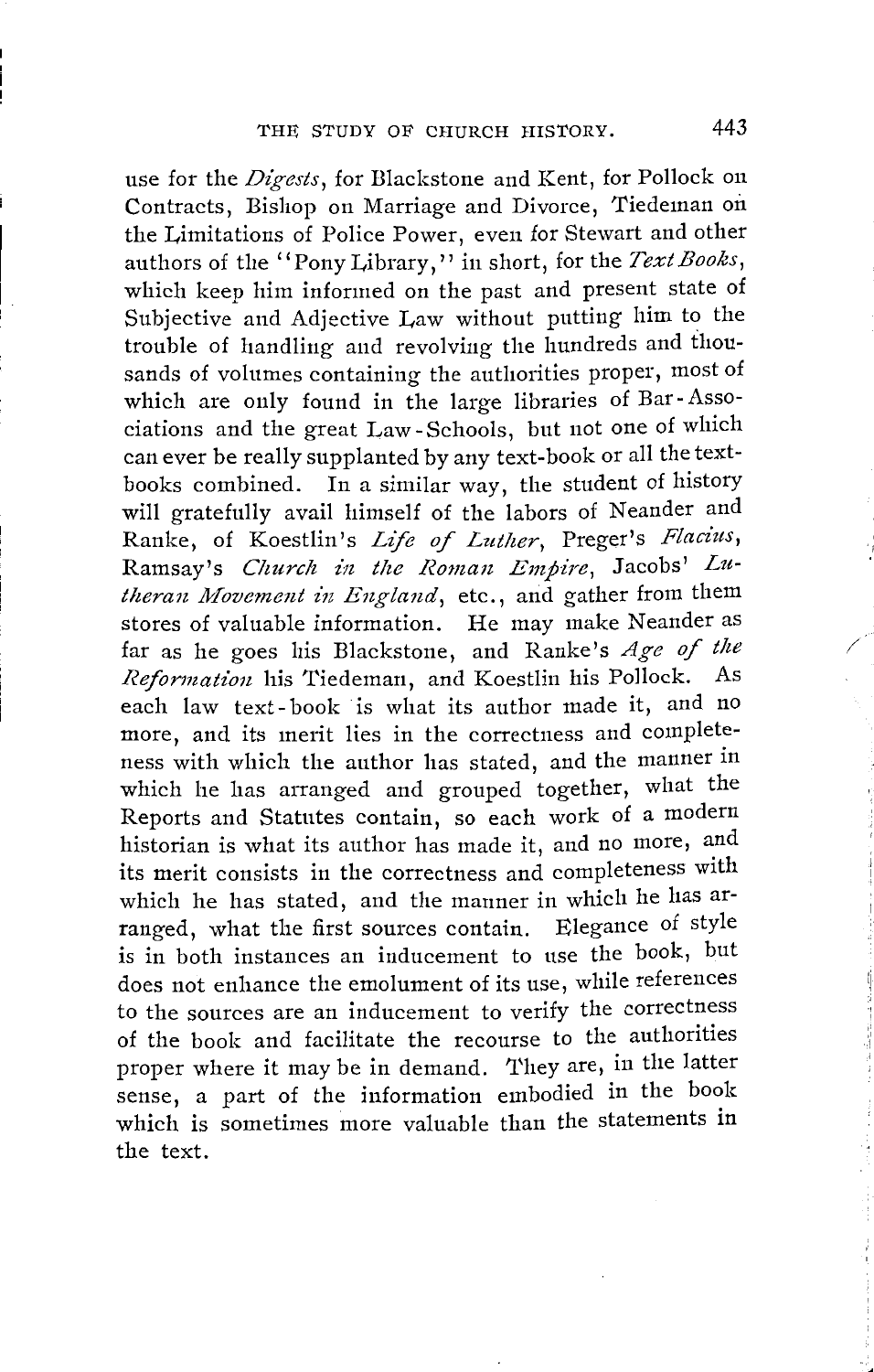use for the *Digests,* for Blackstone and Kent, for Pollock on Contracts, Bishop on Marriage and Divorce, Tiedeman oil the Limitations of Police Power, even for Stewart and other authors of the "Pony Library," in short, for the *Text Books,*  which keep him informed on the past and present state of Subjective and Adjective Law without putting him to the trouble of handling and revolving the hundreds and thousands of volumes containing the authorities proper, most of which are only found in the large libraries of Bar -Associations and the great Law- Schools, but not one of which can ever be really supplanted by any text-book or all the textbooks combined. In a similar way, the student of history will gratefully avail himself of the labors of Neander and Ranke, of Koestlin's *Life of Luther,* Preger's *Flaciits,*  Ramsay's *Church in the Roman Empire,* Jacobs' *Lu*theran Movement in England, etc., and gather from them stores of valuable information. He may make Neander as far as he goes his Blackstone, and Ranke's *Age of the Reformation* his Tiedeman, and Koestlin his Pollock. As each law text- book is what its author made it, and no more, and its merit lies in the correctness and completeness with which the author has stated, and the manner in which he has arranged and grouped together, what the Reports and Statutes contain, so each work of a modern historian is what its author has made it, and no more, and its merit consists in the correctness and completeness with which he has stated, and the manner in which he has arranged, what the first sources contain. Elegance of style is in both instances an inducement to use the book, but does not enhance the emolument of its use, while references to the sources are an inducement to verify the correctness of the book and facilitate the recourse to the authorities proper where it may be in demand. 'I'hey are, in the latter sense, a part of the information embodied in the book which is sometimes more valuable than the statements in the text.